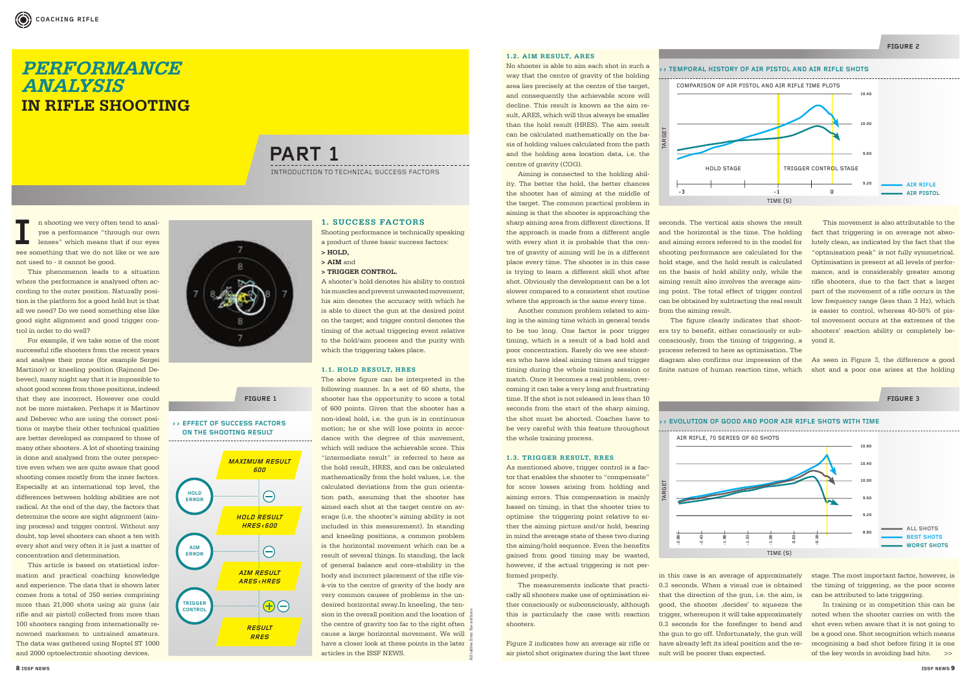#### **1.2. AIM RESULT, ARES**

 Aiming is connected to the holding ability. The better the hold, the better chances the shooter has of aiming at the middle of the target. The common practical problem in aiming is that the shooter is approaching the sharp aiming area from different directions. If the approach is made from a different angle with every shot it is probable that the centre of gravity of aiming will be in a different place every time. The shooter is in this case is trying to learn a different skill shot after shot. Obviously the development can be a lot slower compared to a consistent shot routine where the approach is the same every time.

No shooter is able to aim each shot in such a way that the centre of gravity of the holding area lies precisely at the centre of the target, and consequently the achievable score will decline. This result is known as the aim result, ARES, which will thus always be smaller than the hold result (HRES). The aim result can be calculated mathematically on the basis of holding values calculated from the path and the holding area location data, i.e. the centre of gravity (COG).

As mentioned above, trigger control is a factor that enables the shooter to "compensate" for score losses arising from holding and aiming errors. This compensation is mainly based on timing, in that the shooter tries to optimise the triggering point relative to either the aiming picture and/or hold, bearing in mind the average state of these two during  $the$  aiming/hold sequence. Even the benefits gained from good timing may be wasted, however, if the actual triggering is not performed properly.

 Another common problem related to aiming is the aiming time which in general tends to be too long. One factor is poor trigger timing, which is a result of a bad hold and poor concentration. Rarely do we see shooters who have ideal aiming times and trigger timing during the whole training session or match. Once it becomes a real problem, overcoming it can take a very long and frustrating time. If the shot is not released in less than 10 seconds from the start of the sharp aiming. the shot must be aborted. Coaches have to be very careful with this feature throughout the whole training process.

#### **1.3. TRIGGER RESULT, RRES**

stage. The most important factor, however, is the timing of triggering, as the poor scores can be attributed to late triggering.

 In training or in competition this can be noted when the shooter carries on with the shot even when aware that it is not going to be a good one. Shot recognition which means recognising a bad shot before firing it is one of the key words in avoiding bad hits.  $\gg$ 

 The measurements indicate that practically all shooters make use of optimisation either consciously or subconsciously, although this is particularly the case with reaction shooters.

I**I** Is shooting we very often tend to analyse a performance "through our own lenses" which means that if our eyes see something that we do not like or we are yse a performance "through our own lenses" which means that if our eyes not used to - it cannot be good.

> Figure 2 indicates how an average air rifle or air pistol shot originates during the last three

seconds. The vertical axis shows the result and the horizontal is the time. The holding and aiming errors referred to in the model for shooting performance are calculated for the hold stage, and the hold result is calculated on the basis of hold ability only, while the aiming result also involves the average aiming point. The total effect of trigger control can be obtained by subtracting the real result from the aiming result.

The figure clearly indicates that shoot-

ers try to benefit, either consciously or subconsciously, from the timing of triggering, a process referred to here as optimisation. The diagram also confirms our impression of the finite nature of human reaction time, which

in this case is an average of approximately 0.3 seconds. When a visual cue is obtained that the direction of the gun, i.e. the aim, is good, the shooter 'decides' to squeeze the trigger, whereupon it will take approximately 0.3 seconds for the forefinger to bend and the gun to go off. Unfortunately, the gun will have already left its ideal position and the result will be poorer than expected.

 This movement is also attributable to the fact that triggering is on average not absolutely clean, as indicated by the fact that the "optimisation peak" is not fully symmetrical. Optimisation is present at all levels of performance, and is considerably greater among rifle shooters, due to the fact that a larger part of the movement of a rifle occurs in the low frequency range (less than 3 Hz), which is easier to control, whereas 40-50% of pistol movement occurs at the extremes of the shooters' reaction ability or completely beyond it.

As seen in Figure 3, the difference a good shot and a poor one arises at the holding

All tables from the authors

 This phenomenon leads to a situation where the performance is analysed often according to the outer position. Naturally position is the platform for a good hold but is that all we need? Do we need something else like good sight alignment and good trigger control in order to do well?

 For example, if we take some of the most successful rifle shooters from the recent years and analyse their prone (for example Sergei Martinov) or kneeling position (Rajmond Debevec), many might say that it is impossible to shoot good scores from those positions, indeed that they are incorrect. However one could not be more mistaken. Perhaps it is Martinov and Debevec who are using the correct positions or maybe their other technical qualities are better developed as compared to those of many other shooters. A lot of shooting training is done and analysed from the outer perspective even when we are quite aware that good shooting comes mostly from the inner factors. Especially at an international top level, the differences between holding abilities are not radical. At the end of the day, the factors that determine the score are sight alignment (aiming process) and trigger control. Without any doubt, top level shooters can shoot a ten with every shot and very often it is just a matter of concentration and determination.

 This article is based on statistical information and practical coaching knowledge and experience. The data that is shown later comes from a total of 350 series comprising more than 21,000 shots using air guns (air rifle and air pistol) collected from more than 100 shooters ranging from internationally renowned marksmen to untrained amateurs. The data was gathered using Noptel ST 1000 and 2000 optoelectronic shooting devices.



#### **1. SUCCESS FACTORS**

Shooting performance is technically speaking a product of three basic success factors:

**> HOLD,** 

- **> AIM** and
- **> TRIGGER CONTROL.**

A shooter's hold denotes his ability to control his muscles and prevent unwanted movement; his aim denotes the accuracy with which he is able to direct the gun at the desired point on the target; and trigger control denotes the timing of the actual triggering event relative to the hold/aim process and the purity with which the triggering takes place.

#### **1.1. HOLD RESULT, HRES**

The above figure can be interpreted in the following manner. In a set of 60 shots, the shooter has the opportunity to score a total of 600 points. Given that the shooter has a non-ideal hold, i.e. the gun is in continuous motion; he or she will lose points in accordance with the degree of this movement. which will reduce the achievable score. This "intermediate result" is referred to here as the hold result, HRES, and can be calculated mathematically from the hold values, i.e. the calculated deviations from the gun orientation path, assuming that the shooter has aimed each shot at the target centre on average (i.e. the shooter's aiming ability is not included in this measurement). In standing and kneeling positions, a common problem is the horizontal movement which can be a result of several things. In standing, the lack of general balance and core-stability in the body and incorrect placement of the rifle visà-vis to the centre of gravity of the body are very common causes of problems in the undesired horizontal sway.In kneeling, the tension in the overall position and the location of the centre of gravity too far to the right often cause a large horizontal movement. We will have a closer look at these points in the later articles in the ISSF NEWS.

### **PERFORMANCE ANALYSIS IN RIFLE SHOOTING**

**PART 1**

INTRODUCTION TO TECHNICAL SUCCESS FACTORS

#### **>> EFFECT OF SUCCESS FACTORS ON THE SHOOTING RESULT**

**FIGURE 1** 







**FIGURE 3**